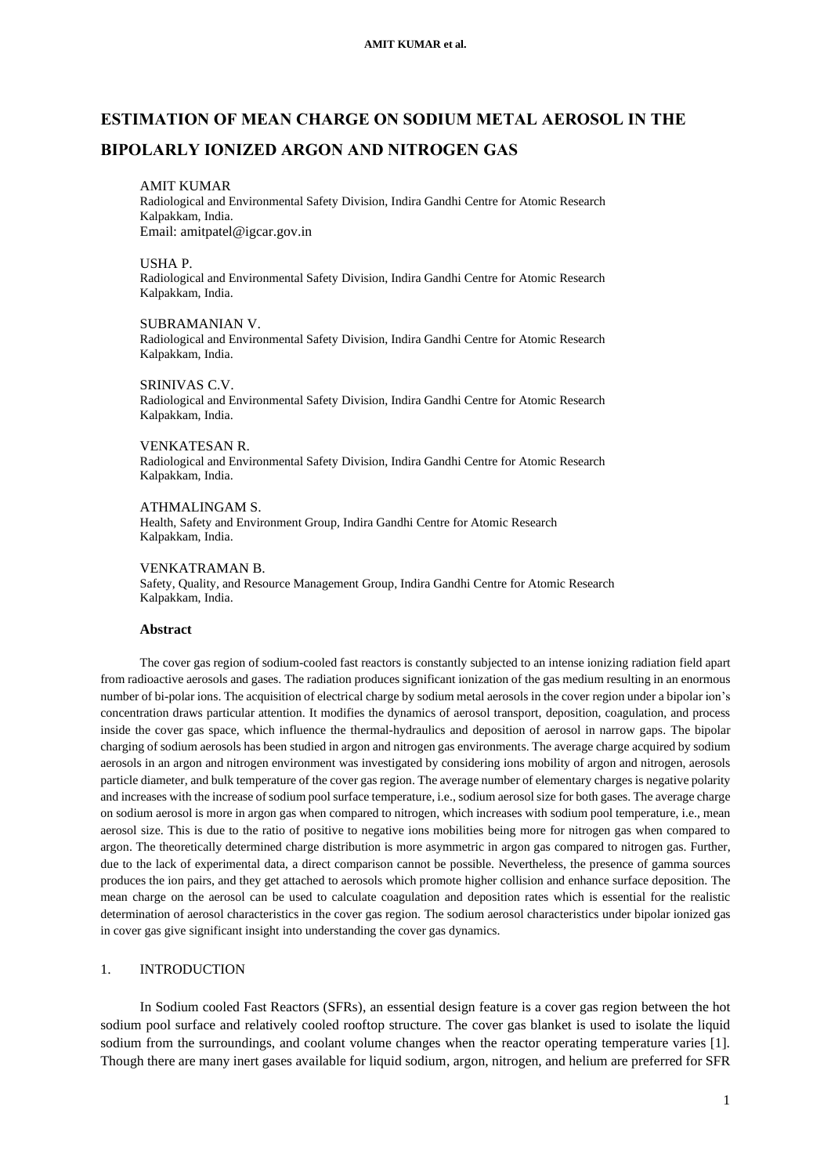# **ESTIMATION OF MEAN CHARGE ON SODIUM METAL AEROSOL IN THE BIPOLARLY IONIZED ARGON AND NITROGEN GAS**

#### AMIT KUMAR

Radiological and Environmental Safety Division, Indira Gandhi Centre for Atomic Research Kalpakkam, India. Email: amitpatel@igcar.gov.in

#### USHA P.

Radiological and Environmental Safety Division, Indira Gandhi Centre for Atomic Research Kalpakkam, India.

#### SUBRAMANIAN V.

Radiological and Environmental Safety Division, Indira Gandhi Centre for Atomic Research Kalpakkam, India.

#### SRINIVAS C.V.

Radiological and Environmental Safety Division, Indira Gandhi Centre for Atomic Research Kalpakkam, India.

#### VENKATESAN R.

Radiological and Environmental Safety Division, Indira Gandhi Centre for Atomic Research Kalpakkam, India.

# ATHMALINGAM S.

Health, Safety and Environment Group, Indira Gandhi Centre for Atomic Research Kalpakkam, India.

## VENKATRAMAN B.

Safety, Quality, and Resource Management Group, Indira Gandhi Centre for Atomic Research Kalpakkam, India.

#### **Abstract**

The cover gas region of sodium-cooled fast reactors is constantly subjected to an intense ionizing radiation field apart from radioactive aerosols and gases. The radiation produces significant ionization of the gas medium resulting in an enormous number of bi-polar ions. The acquisition of electrical charge by sodium metal aerosols in the cover region under a bipolar ion's concentration draws particular attention. It modifies the dynamics of aerosol transport, deposition, coagulation, and process inside the cover gas space, which influence the thermal-hydraulics and deposition of aerosol in narrow gaps. The bipolar charging of sodium aerosols has been studied in argon and nitrogen gas environments. The average charge acquired by sodium aerosols in an argon and nitrogen environment was investigated by considering ions mobility of argon and nitrogen, aerosols particle diameter, and bulk temperature of the cover gas region. The average number of elementary charges is negative polarity and increases with the increase of sodium pool surface temperature, i.e., sodium aerosol size for both gases. The average charge on sodium aerosol is more in argon gas when compared to nitrogen, which increases with sodium pool temperature, i.e., mean aerosol size. This is due to the ratio of positive to negative ions mobilities being more for nitrogen gas when compared to argon. The theoretically determined charge distribution is more asymmetric in argon gas compared to nitrogen gas. Further, due to the lack of experimental data, a direct comparison cannot be possible. Nevertheless, the presence of gamma sources produces the ion pairs, and they get attached to aerosols which promote higher collision and enhance surface deposition. The mean charge on the aerosol can be used to calculate coagulation and deposition rates which is essential for the realistic determination of aerosol characteristics in the cover gas region. The sodium aerosol characteristics under bipolar ionized gas in cover gas give significant insight into understanding the cover gas dynamics.

# 1. INTRODUCTION

In Sodium cooled Fast Reactors (SFRs), an essential design feature is a cover gas region between the hot sodium pool surface and relatively cooled rooftop structure. The cover gas blanket is used to isolate the liquid sodium from the surroundings, and coolant volume changes when the reactor operating temperature varies [1]. Though there are many inert gases available for liquid sodium, argon, nitrogen, and helium are preferred for SFR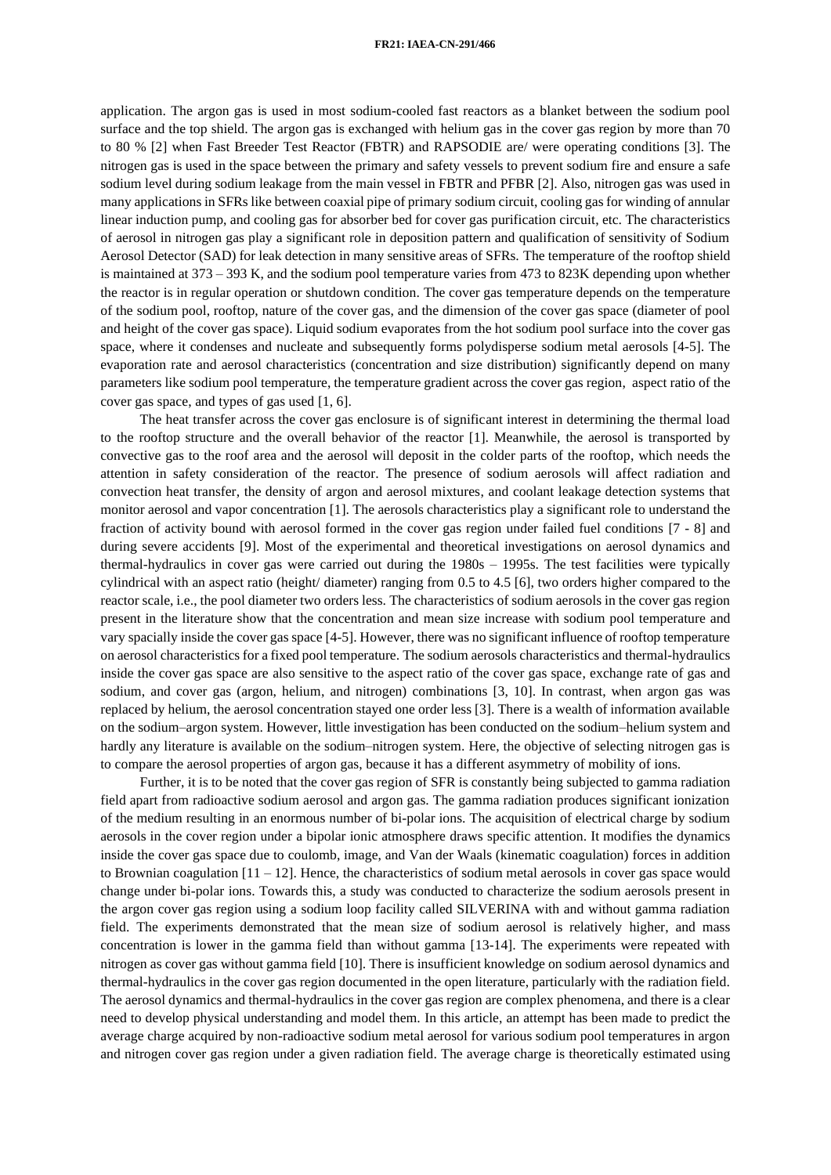application. The argon gas is used in most sodium-cooled fast reactors as a blanket between the sodium pool surface and the top shield. The argon gas is exchanged with helium gas in the cover gas region by more than 70 to 80 % [2] when Fast Breeder Test Reactor (FBTR) and RAPSODIE are/ were operating conditions [3]. The nitrogen gas is used in the space between the primary and safety vessels to prevent sodium fire and ensure a safe sodium level during sodium leakage from the main vessel in FBTR and PFBR [2]. Also, nitrogen gas was used in many applications in SFRs like between coaxial pipe of primary sodium circuit, cooling gas for winding of annular linear induction pump, and cooling gas for absorber bed for cover gas purification circuit, etc. The characteristics of aerosol in nitrogen gas play a significant role in deposition pattern and qualification of sensitivity of Sodium Aerosol Detector (SAD) for leak detection in many sensitive areas of SFRs. The temperature of the rooftop shield is maintained at 373 – 393 K, and the sodium pool temperature varies from 473 to 823K depending upon whether the reactor is in regular operation or shutdown condition. The cover gas temperature depends on the temperature of the sodium pool, rooftop, nature of the cover gas, and the dimension of the cover gas space (diameter of pool and height of the cover gas space). Liquid sodium evaporates from the hot sodium pool surface into the cover gas space, where it condenses and nucleate and subsequently forms polydisperse sodium metal aerosols [4-5]. The evaporation rate and aerosol characteristics (concentration and size distribution) significantly depend on many parameters like sodium pool temperature, the temperature gradient across the cover gas region, aspect ratio of the cover gas space, and types of gas used [1, 6].

The heat transfer across the cover gas enclosure is of significant interest in determining the thermal load to the rooftop structure and the overall behavior of the reactor [1]. Meanwhile, the aerosol is transported by convective gas to the roof area and the aerosol will deposit in the colder parts of the rooftop, which needs the attention in safety consideration of the reactor. The presence of sodium aerosols will affect radiation and convection heat transfer, the density of argon and aerosol mixtures, and coolant leakage detection systems that monitor aerosol and vapor concentration [1]. The aerosols characteristics play a significant role to understand the fraction of activity bound with aerosol formed in the cover gas region under failed fuel conditions [7 - 8] and during severe accidents [9]. Most of the experimental and theoretical investigations on aerosol dynamics and thermal-hydraulics in cover gas were carried out during the 1980s – 1995s. The test facilities were typically cylindrical with an aspect ratio (height/ diameter) ranging from 0.5 to 4.5 [6], two orders higher compared to the reactor scale, i.e., the pool diameter two orders less. The characteristics of sodium aerosols in the cover gas region present in the literature show that the concentration and mean size increase with sodium pool temperature and vary spacially inside the cover gas space [4-5]. However, there was no significant influence of rooftop temperature on aerosol characteristics for a fixed pool temperature. The sodium aerosols characteristics and thermal-hydraulics inside the cover gas space are also sensitive to the aspect ratio of the cover gas space, exchange rate of gas and sodium, and cover gas (argon, helium, and nitrogen) combinations [3, 10]. In contrast, when argon gas was replaced by helium, the aerosol concentration stayed one order less [3]. There is a wealth of information available on the sodium–argon system. However, little investigation has been conducted on the sodium–helium system and hardly any literature is available on the sodium–nitrogen system. Here, the objective of selecting nitrogen gas is to compare the aerosol properties of argon gas, because it has a different asymmetry of mobility of ions.

Further, it is to be noted that the cover gas region of SFR is constantly being subjected to gamma radiation field apart from radioactive sodium aerosol and argon gas. The gamma radiation produces significant ionization of the medium resulting in an enormous number of bi-polar ions. The acquisition of electrical charge by sodium aerosols in the cover region under a bipolar ionic atmosphere draws specific attention. It modifies the dynamics inside the cover gas space due to coulomb, image, and Van der Waals (kinematic coagulation) forces in addition to Brownian coagulation [11 – 12]. Hence, the characteristics of sodium metal aerosols in cover gas space would change under bi-polar ions. Towards this, a study was conducted to characterize the sodium aerosols present in the argon cover gas region using a sodium loop facility called SILVERINA with and without gamma radiation field. The experiments demonstrated that the mean size of sodium aerosol is relatively higher, and mass concentration is lower in the gamma field than without gamma [13-14]. The experiments were repeated with nitrogen as cover gas without gamma field [10]. There is insufficient knowledge on sodium aerosol dynamics and thermal-hydraulics in the cover gas region documented in the open literature, particularly with the radiation field. The aerosol dynamics and thermal-hydraulics in the cover gas region are complex phenomena, and there is a clear need to develop physical understanding and model them. In this article, an attempt has been made to predict the average charge acquired by non-radioactive sodium metal aerosol for various sodium pool temperatures in argon and nitrogen cover gas region under a given radiation field. The average charge is theoretically estimated using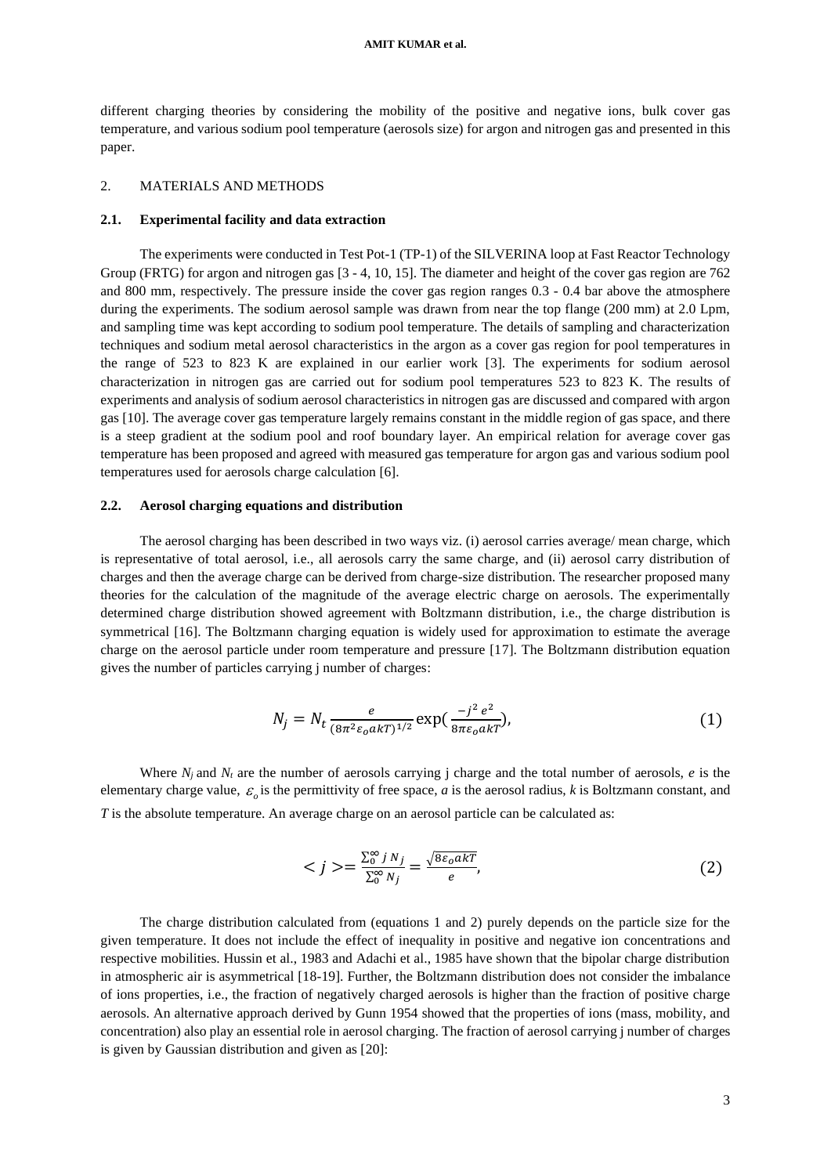different charging theories by considering the mobility of the positive and negative ions, bulk cover gas temperature, and various sodium pool temperature (aerosols size) for argon and nitrogen gas and presented in this paper.

## 2. MATERIALS AND METHODS

## **2.1. Experimental facility and data extraction**

The experiments were conducted in Test Pot-1 (TP-1) of the SILVERINA loop at Fast Reactor Technology Group (FRTG) for argon and nitrogen gas [3 - 4, 10, 15]. The diameter and height of the cover gas region are 762 and 800 mm, respectively. The pressure inside the cover gas region ranges 0.3 - 0.4 bar above the atmosphere during the experiments. The sodium aerosol sample was drawn from near the top flange (200 mm) at 2.0 Lpm, and sampling time was kept according to sodium pool temperature. The details of sampling and characterization techniques and sodium metal aerosol characteristics in the argon as a cover gas region for pool temperatures in the range of 523 to 823 K are explained in our earlier work [3]. The experiments for sodium aerosol characterization in nitrogen gas are carried out for sodium pool temperatures 523 to 823 K. The results of experiments and analysis of sodium aerosol characteristics in nitrogen gas are discussed and compared with argon gas [10]. The average cover gas temperature largely remains constant in the middle region of gas space, and there is a steep gradient at the sodium pool and roof boundary layer. An empirical relation for average cover gas temperature has been proposed and agreed with measured gas temperature for argon gas and various sodium pool temperatures used for aerosols charge calculation [6].

## **2.2. Aerosol charging equations and distribution**

The aerosol charging has been described in two ways viz. (i) aerosol carries average/ mean charge, which is representative of total aerosol, i.e., all aerosols carry the same charge, and (ii) aerosol carry distribution of charges and then the average charge can be derived from charge-size distribution. The researcher proposed many theories for the calculation of the magnitude of the average electric charge on aerosols. The experimentally determined charge distribution showed agreement with Boltzmann distribution, i.e., the charge distribution is symmetrical [16]. The Boltzmann charging equation is widely used for approximation to estimate the average charge on the aerosol particle under room temperature and pressure [17]. The Boltzmann distribution equation gives the number of particles carrying j number of charges:

$$
N_j = N_t \frac{e}{(8\pi^2 \varepsilon_0 a kT)^{1/2}} \exp(\frac{-j^2 e^2}{8\pi \varepsilon_0 a kT}),
$$
\n(1)

Where  $N_i$  and  $N_t$  are the number of aerosols carrying j charge and the total number of aerosols,  $e$  is the elementary charge value,  $\varepsilon_o$  is the permittivity of free space, *a* is the aerosol radius, *k* is Boltzmann constant, and *T* is the absolute temperature. An average charge on an aerosol particle can be calculated as:

$$
\langle j \rangle = \frac{\sum_{0}^{\infty} j N_j}{\sum_{0}^{\infty} N_j} = \frac{\sqrt{8\varepsilon_0 a k T}}{e},\tag{2}
$$

The charge distribution calculated from (equations 1 and 2) purely depends on the particle size for the given temperature. It does not include the effect of inequality in positive and negative ion concentrations and respective mobilities. Hussin et al., 1983 and Adachi et al., 1985 have shown that the bipolar charge distribution in atmospheric air is asymmetrical [18-19]. Further, the Boltzmann distribution does not consider the imbalance of ions properties, i.e., the fraction of negatively charged aerosols is higher than the fraction of positive charge aerosols. An alternative approach derived by Gunn 1954 showed that the properties of ions (mass, mobility, and concentration) also play an essential role in aerosol charging. The fraction of aerosol carrying j number of charges is given by Gaussian distribution and given as [20]: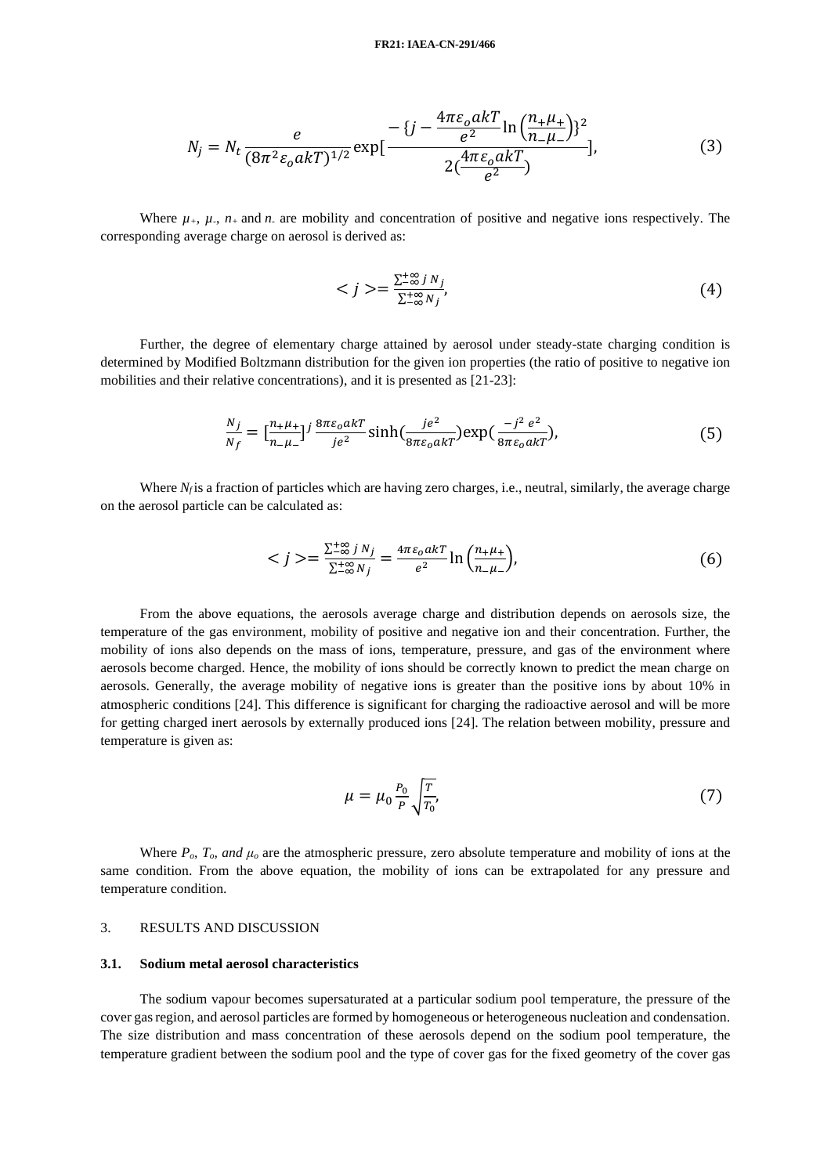$$
N_j = N_t \frac{e}{(8\pi^2 \varepsilon_o a k T)^{1/2}} \exp\left[\frac{-\{j - \frac{4\pi \varepsilon_o a k T}{e^2} \ln\left(\frac{n_{+} \mu_{+}}{n_{-} \mu_{-}}\right)\}^2}{2\left(\frac{4\pi \varepsilon_o a k T}{e^2}\right)}\right],\tag{3}
$$

Where  $\mu_+$ ,  $\mu_-, n_+$  and *n*<sub>*-*</sub> are mobility and concentration of positive and negative ions respectively. The corresponding average charge on aerosol is derived as:

$$
\langle j \rangle = \frac{\sum_{i=0}^{+\infty} j N_j}{\sum_{i=0}^{+\infty} N_j},\tag{4}
$$

Further, the degree of elementary charge attained by aerosol under steady-state charging condition is determined by Modified Boltzmann distribution for the given ion properties (the ratio of positive to negative ion mobilities and their relative concentrations), and it is presented as [21-23]:

$$
\frac{N_j}{N_f} = \left[\frac{n_{+}\mu_{+}}{n_{-}\mu_{-}}\right]^j \frac{8\pi\varepsilon_0 a kT}{j e^2} \sinh\left(\frac{j e^2}{8\pi\varepsilon_0 a kT}\right) \exp\left(\frac{-j^2 e^2}{8\pi\varepsilon_0 a kT}\right),\tag{5}
$$

Where  $N_f$  is a fraction of particles which are having zero charges, i.e., neutral, similarly, the average charge on the aerosol particle can be calculated as:

$$
\langle j \rangle = \frac{\sum_{-\infty}^{+\infty} j N_j}{\sum_{-\infty}^{+\infty} N_j} = \frac{4\pi \varepsilon_0 a k T}{e^2} \ln \left( \frac{n_+ \mu_+}{n_- \mu_-} \right),\tag{6}
$$

From the above equations, the aerosols average charge and distribution depends on aerosols size, the temperature of the gas environment, mobility of positive and negative ion and their concentration. Further, the mobility of ions also depends on the mass of ions, temperature, pressure, and gas of the environment where aerosols become charged. Hence, the mobility of ions should be correctly known to predict the mean charge on aerosols. Generally, the average mobility of negative ions is greater than the positive ions by about 10% in atmospheric conditions [24]. This difference is significant for charging the radioactive aerosol and will be more for getting charged inert aerosols by externally produced ions [24]. The relation between mobility, pressure and temperature is given as:

$$
\mu = \mu_0 \frac{P_0}{P} \sqrt{\frac{T}{T_0}},\tag{7}
$$

Where  $P_o$ ,  $T_o$ , and  $\mu_o$  are the atmospheric pressure, zero absolute temperature and mobility of ions at the same condition. From the above equation, the mobility of ions can be extrapolated for any pressure and temperature condition.

# 3. RESULTS AND DISCUSSION

#### **3.1. Sodium metal aerosol characteristics**

The sodium vapour becomes supersaturated at a particular sodium pool temperature, the pressure of the cover gas region, and aerosol particles are formed by homogeneous or heterogeneous nucleation and condensation. The size distribution and mass concentration of these aerosols depend on the sodium pool temperature, the temperature gradient between the sodium pool and the type of cover gas for the fixed geometry of the cover gas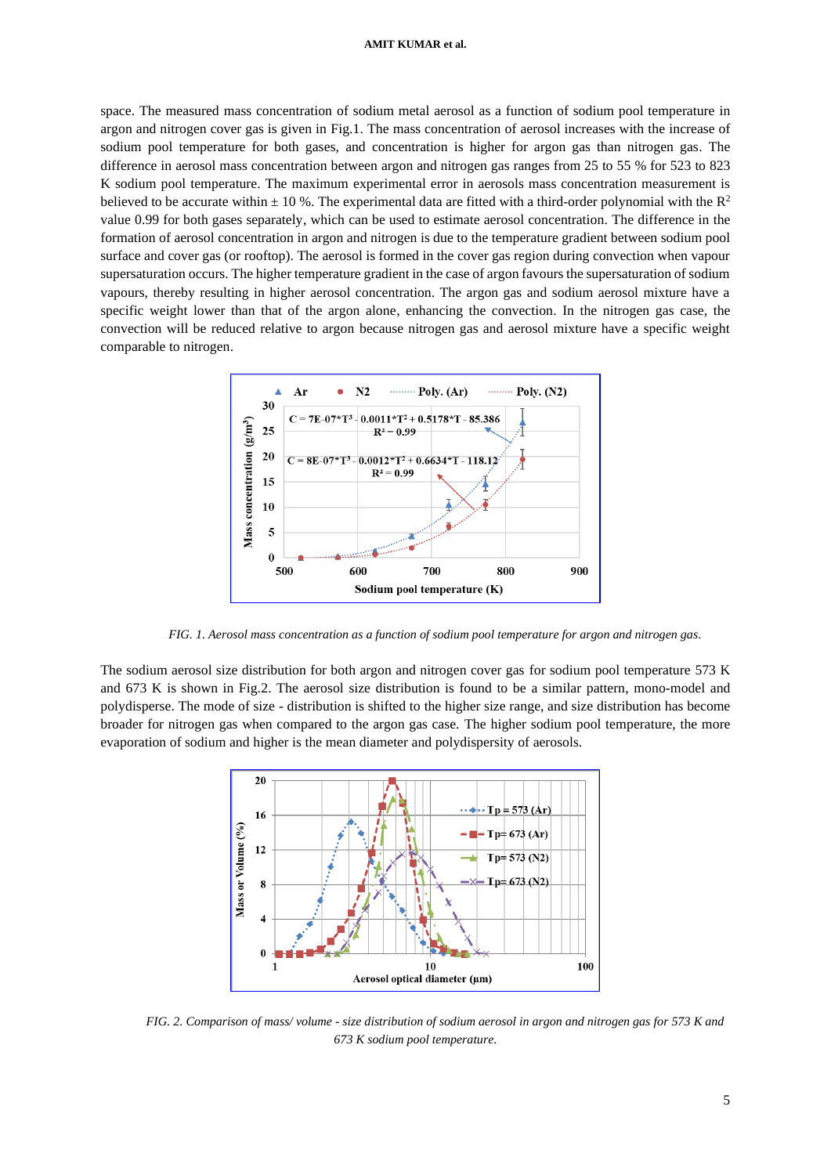#### **AMIT KUMAR et al.**

space. The measured mass concentration of sodium metal aerosol as a function of sodium pool temperature in argon and nitrogen cover gas is given in Fig.1. The mass concentration of aerosol increases with the increase of sodium pool temperature for both gases, and concentration is higher for argon gas than nitrogen gas. The difference in aerosol mass concentration between argon and nitrogen gas ranges from 25 to 55 % for 523 to 823 K sodium pool temperature. The maximum experimental error in aerosols mass concentration measurement is believed to be accurate within  $\pm$  10 %. The experimental data are fitted with a third-order polynomial with the  $\mathbb{R}^2$ value 0.99 for both gases separately, which can be used to estimate aerosol concentration. The difference in the formation of aerosol concentration in argon and nitrogen is due to the temperature gradient between sodium pool surface and cover gas (or rooftop). The aerosol is formed in the cover gas region during convection when vapour supersaturation occurs. The higher temperature gradient in the case of argon favours the supersaturation of sodium vapours, thereby resulting in higher aerosol concentration. The argon gas and sodium aerosol mixture have a specific weight lower than that of the argon alone, enhancing the convection. In the nitrogen gas case, the convection will be reduced relative to argon because nitrogen gas and aerosol mixture have a specific weight comparable to nitrogen.



*FIG. 1. Aerosol mass concentration as a function of sodium pool temperature for argon and nitrogen gas.*

The sodium aerosol size distribution for both argon and nitrogen cover gas for sodium pool temperature 573 K and 673 K is shown in Fig.2. The aerosol size distribution is found to be a similar pattern, mono-model and polydisperse. The mode of size - distribution is shifted to the higher size range, and size distribution has become broader for nitrogen gas when compared to the argon gas case. The higher sodium pool temperature, the more evaporation of sodium and higher is the mean diameter and polydispersity of aerosols.



*FIG. 2. Comparison of mass/ volume - size distribution of sodium aerosol in argon and nitrogen gas for 573 K and 673 K sodium pool temperature.*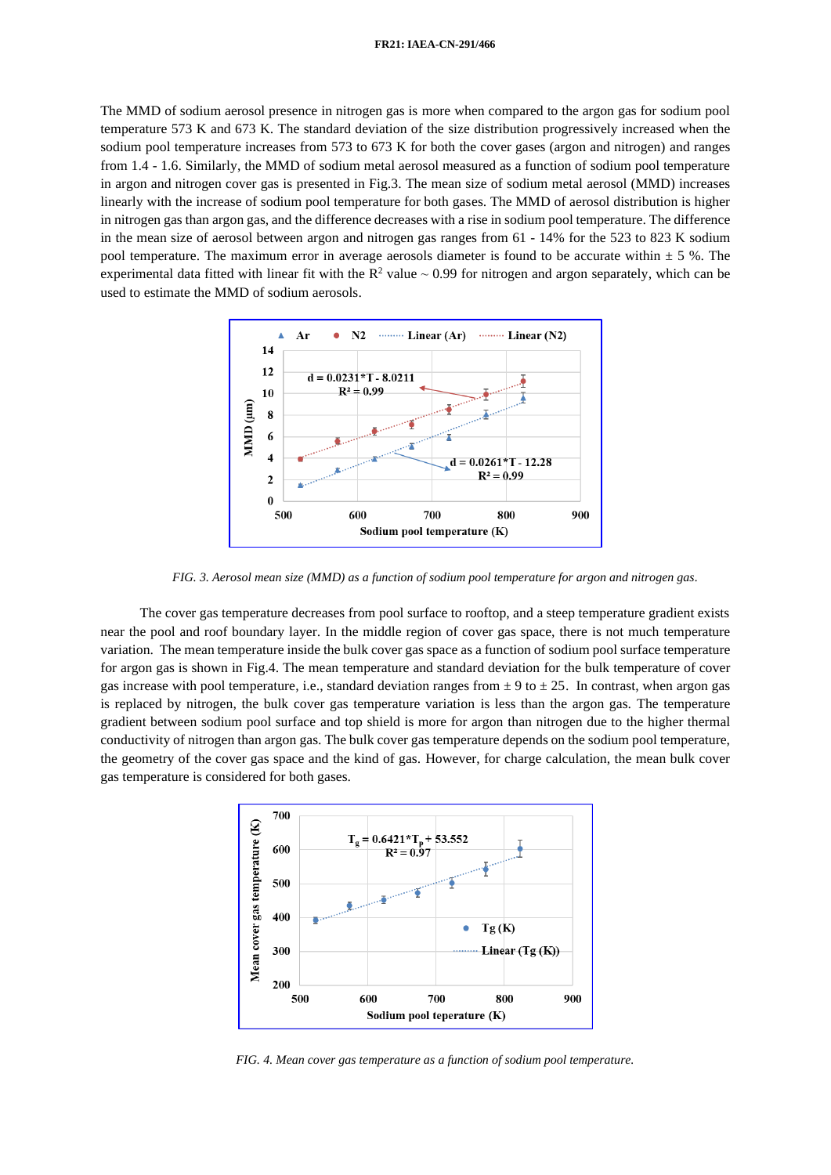#### **FR21: IAEA-CN-291/466**

The MMD of sodium aerosol presence in nitrogen gas is more when compared to the argon gas for sodium pool temperature 573 K and 673 K. The standard deviation of the size distribution progressively increased when the sodium pool temperature increases from 573 to 673 K for both the cover gases (argon and nitrogen) and ranges from 1.4 - 1.6. Similarly, the MMD of sodium metal aerosol measured as a function of sodium pool temperature in argon and nitrogen cover gas is presented in Fig.3. The mean size of sodium metal aerosol (MMD) increases linearly with the increase of sodium pool temperature for both gases. The MMD of aerosol distribution is higher in nitrogen gas than argon gas, and the difference decreases with a rise in sodium pool temperature. The difference in the mean size of aerosol between argon and nitrogen gas ranges from 61 - 14% for the 523 to 823 K sodium pool temperature. The maximum error in average aerosols diameter is found to be accurate within  $\pm$  5 %. The experimental data fitted with linear fit with the  $R^2$  value  $\sim 0.99$  for nitrogen and argon separately, which can be used to estimate the MMD of sodium aerosols.



*FIG. 3. Aerosol mean size (MMD) as a function of sodium pool temperature for argon and nitrogen gas.*

The cover gas temperature decreases from pool surface to rooftop, and a steep temperature gradient exists near the pool and roof boundary layer. In the middle region of cover gas space, there is not much temperature variation. The mean temperature inside the bulk cover gas space as a function of sodium pool surface temperature for argon gas is shown in Fig.4. The mean temperature and standard deviation for the bulk temperature of cover gas increase with pool temperature, i.e., standard deviation ranges from  $\pm$  9 to  $\pm$  25. In contrast, when argon gas is replaced by nitrogen, the bulk cover gas temperature variation is less than the argon gas. The temperature gradient between sodium pool surface and top shield is more for argon than nitrogen due to the higher thermal conductivity of nitrogen than argon gas. The bulk cover gas temperature depends on the sodium pool temperature, the geometry of the cover gas space and the kind of gas. However, for charge calculation, the mean bulk cover gas temperature is considered for both gases.



*FIG. 4. Mean cover gas temperature as a function of sodium pool temperature.*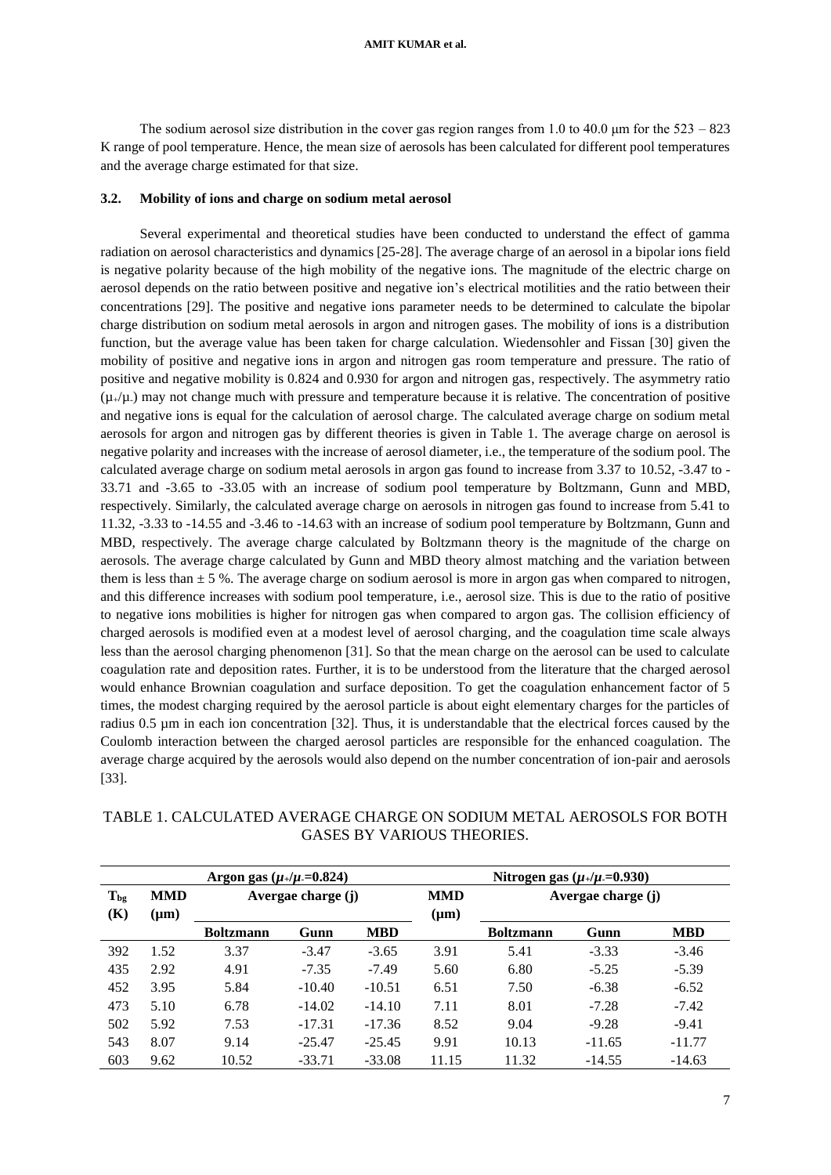The sodium aerosol size distribution in the cover gas region ranges from 1.0 to 40.0 μm for the 523 – 823 K range of pool temperature. Hence, the mean size of aerosols has been calculated for different pool temperatures and the average charge estimated for that size.

### **3.2. Mobility of ions and charge on sodium metal aerosol**

Several experimental and theoretical studies have been conducted to understand the effect of gamma radiation on aerosol characteristics and dynamics [25-28]. The average charge of an aerosol in a bipolar ions field is negative polarity because of the high mobility of the negative ions. The magnitude of the electric charge on aerosol depends on the ratio between positive and negative ion's electrical motilities and the ratio between their concentrations [29]. The positive and negative ions parameter needs to be determined to calculate the bipolar charge distribution on sodium metal aerosols in argon and nitrogen gases. The mobility of ions is a distribution function, but the average value has been taken for charge calculation. Wiedensohler and Fissan [30] given the mobility of positive and negative ions in argon and nitrogen gas room temperature and pressure. The ratio of positive and negative mobility is 0.824 and 0.930 for argon and nitrogen gas, respectively. The asymmetry ratio  $(\mu_{+}/\mu_{-})$  may not change much with pressure and temperature because it is relative. The concentration of positive and negative ions is equal for the calculation of aerosol charge. The calculated average charge on sodium metal aerosols for argon and nitrogen gas by different theories is given in Table 1. The average charge on aerosol is negative polarity and increases with the increase of aerosol diameter, i.e., the temperature of the sodium pool. The calculated average charge on sodium metal aerosols in argon gas found to increase from 3.37 to 10.52, -3.47 to - 33.71 and -3.65 to -33.05 with an increase of sodium pool temperature by Boltzmann, Gunn and MBD, respectively. Similarly, the calculated average charge on aerosols in nitrogen gas found to increase from 5.41 to 11.32, -3.33 to -14.55 and -3.46 to -14.63 with an increase of sodium pool temperature by Boltzmann, Gunn and MBD, respectively. The average charge calculated by Boltzmann theory is the magnitude of the charge on aerosols. The average charge calculated by Gunn and MBD theory almost matching and the variation between them is less than  $\pm$  5 %. The average charge on sodium aerosol is more in argon gas when compared to nitrogen, and this difference increases with sodium pool temperature, i.e., aerosol size. This is due to the ratio of positive to negative ions mobilities is higher for nitrogen gas when compared to argon gas. The collision efficiency of charged aerosols is modified even at a modest level of aerosol charging, and the coagulation time scale always less than the aerosol charging phenomenon [31]. So that the mean charge on the aerosol can be used to calculate coagulation rate and deposition rates. Further, it is to be understood from the literature that the charged aerosol would enhance Brownian coagulation and surface deposition. To get the coagulation enhancement factor of 5 times, the modest charging required by the aerosol particle is about eight elementary charges for the particles of radius 0.5 µm in each ion concentration [32]. Thus, it is understandable that the electrical forces caused by the Coulomb interaction between the charged aerosol particles are responsible for the enhanced coagulation. The average charge acquired by the aerosols would also depend on the number concentration of ion-pair and aerosols [33].

|          | Argon gas ( $\mu$ <sub>+</sub> / $\mu$ <sub>-</sub> =0.824) |                    |          |            |            | Nitrogen gas $(\mu_+/\mu_-=0.930)$ |          |            |  |
|----------|-------------------------------------------------------------|--------------------|----------|------------|------------|------------------------------------|----------|------------|--|
| $T_{bg}$ | <b>MMD</b>                                                  | Avergae charge (j) |          |            | <b>MMD</b> | Avergae charge (j)                 |          |            |  |
| (K)      | $(\mu m)$                                                   | <b>Boltzmann</b>   | Gunn     | <b>MBD</b> | $(\mu m)$  | <b>Boltzmann</b>                   | Gunn     | <b>MBD</b> |  |
| 392      | 1.52                                                        | 3.37               | $-3.47$  | $-3.65$    | 3.91       | 5.41                               | $-3.33$  | $-3.46$    |  |
| 435      | 2.92                                                        | 4.91               | $-7.35$  | $-7.49$    | 5.60       | 6.80                               | $-5.25$  | $-5.39$    |  |
| 452      | 3.95                                                        | 5.84               | $-10.40$ | $-10.51$   | 6.51       | 7.50                               | $-6.38$  | $-6.52$    |  |
| 473      | 5.10                                                        | 6.78               | $-14.02$ | $-14.10$   | 7.11       | 8.01                               | $-7.28$  | $-7.42$    |  |
| 502      | 5.92                                                        | 7.53               | $-17.31$ | $-17.36$   | 8.52       | 9.04                               | $-9.28$  | $-9.41$    |  |
| 543      | 8.07                                                        | 9.14               | $-25.47$ | $-25.45$   | 9.91       | 10.13                              | $-11.65$ | $-11.77$   |  |
| 603      | 9.62                                                        | 10.52              | $-33.71$ | $-33.08$   | 11.15      | 11.32                              | $-14.55$ | $-14.63$   |  |

# TABLE 1. CALCULATED AVERAGE CHARGE ON SODIUM METAL AEROSOLS FOR BOTH GASES BY VARIOUS THEORIES.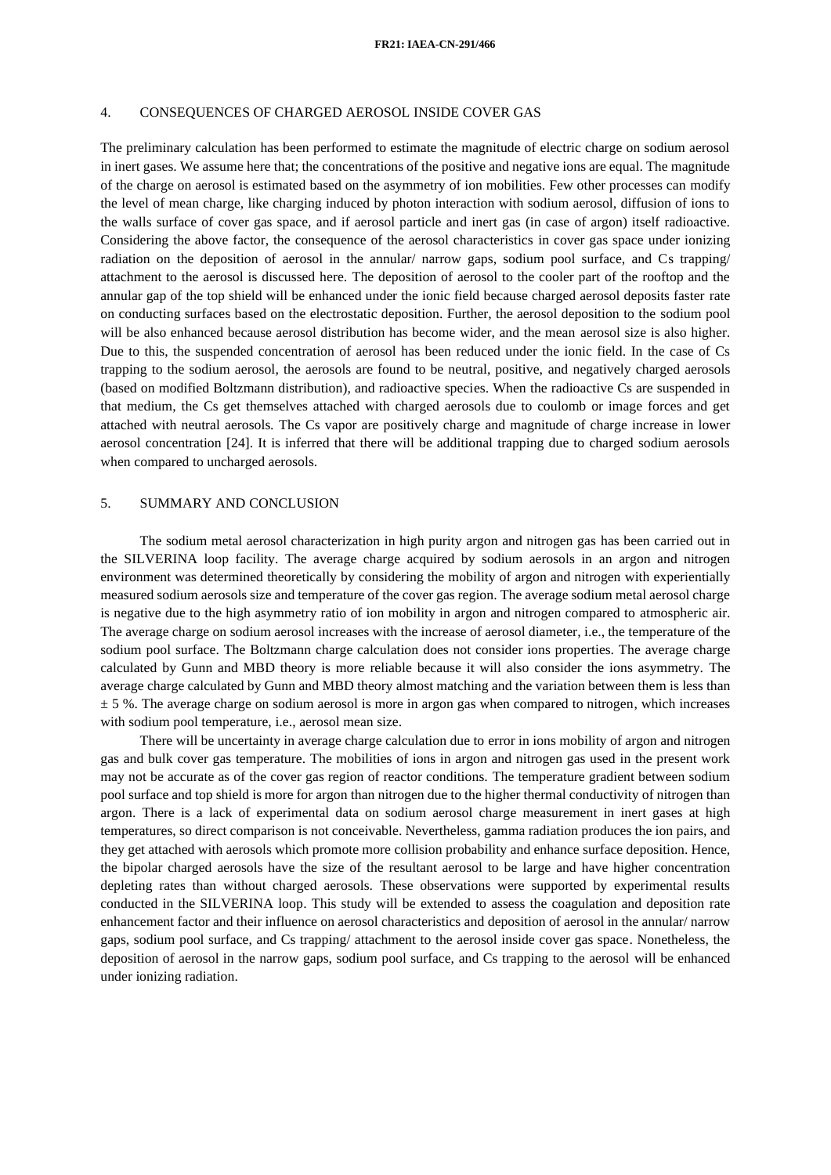## 4. CONSEQUENCES OF CHARGED AEROSOL INSIDE COVER GAS

The preliminary calculation has been performed to estimate the magnitude of electric charge on sodium aerosol in inert gases. We assume here that; the concentrations of the positive and negative ions are equal. The magnitude of the charge on aerosol is estimated based on the asymmetry of ion mobilities. Few other processes can modify the level of mean charge, like charging induced by photon interaction with sodium aerosol, diffusion of ions to the walls surface of cover gas space, and if aerosol particle and inert gas (in case of argon) itself radioactive. Considering the above factor, the consequence of the aerosol characteristics in cover gas space under ionizing radiation on the deposition of aerosol in the annular/ narrow gaps, sodium pool surface, and Cs trapping/ attachment to the aerosol is discussed here. The deposition of aerosol to the cooler part of the rooftop and the annular gap of the top shield will be enhanced under the ionic field because charged aerosol deposits faster rate on conducting surfaces based on the electrostatic deposition. Further, the aerosol deposition to the sodium pool will be also enhanced because aerosol distribution has become wider, and the mean aerosol size is also higher. Due to this, the suspended concentration of aerosol has been reduced under the ionic field. In the case of Cs trapping to the sodium aerosol, the aerosols are found to be neutral, positive, and negatively charged aerosols (based on modified Boltzmann distribution), and radioactive species. When the radioactive Cs are suspended in that medium, the Cs get themselves attached with charged aerosols due to coulomb or image forces and get attached with neutral aerosols. The Cs vapor are positively charge and magnitude of charge increase in lower aerosol concentration [24]. It is inferred that there will be additional trapping due to charged sodium aerosols when compared to uncharged aerosols.

## 5. SUMMARY AND CONCLUSION

The sodium metal aerosol characterization in high purity argon and nitrogen gas has been carried out in the SILVERINA loop facility. The average charge acquired by sodium aerosols in an argon and nitrogen environment was determined theoretically by considering the mobility of argon and nitrogen with experientially measured sodium aerosols size and temperature of the cover gas region. The average sodium metal aerosol charge is negative due to the high asymmetry ratio of ion mobility in argon and nitrogen compared to atmospheric air. The average charge on sodium aerosol increases with the increase of aerosol diameter, i.e., the temperature of the sodium pool surface. The Boltzmann charge calculation does not consider ions properties. The average charge calculated by Gunn and MBD theory is more reliable because it will also consider the ions asymmetry. The average charge calculated by Gunn and MBD theory almost matching and the variation between them is less than  $\pm$  5 %. The average charge on sodium aerosol is more in argon gas when compared to nitrogen, which increases with sodium pool temperature, i.e., aerosol mean size.

There will be uncertainty in average charge calculation due to error in ions mobility of argon and nitrogen gas and bulk cover gas temperature. The mobilities of ions in argon and nitrogen gas used in the present work may not be accurate as of the cover gas region of reactor conditions. The temperature gradient between sodium pool surface and top shield is more for argon than nitrogen due to the higher thermal conductivity of nitrogen than argon. There is a lack of experimental data on sodium aerosol charge measurement in inert gases at high temperatures, so direct comparison is not conceivable. Nevertheless, gamma radiation produces the ion pairs, and they get attached with aerosols which promote more collision probability and enhance surface deposition. Hence, the bipolar charged aerosols have the size of the resultant aerosol to be large and have higher concentration depleting rates than without charged aerosols. These observations were supported by experimental results conducted in the SILVERINA loop. This study will be extended to assess the coagulation and deposition rate enhancement factor and their influence on aerosol characteristics and deposition of aerosol in the annular/ narrow gaps, sodium pool surface, and Cs trapping/ attachment to the aerosol inside cover gas space. Nonetheless, the deposition of aerosol in the narrow gaps, sodium pool surface, and Cs trapping to the aerosol will be enhanced under ionizing radiation.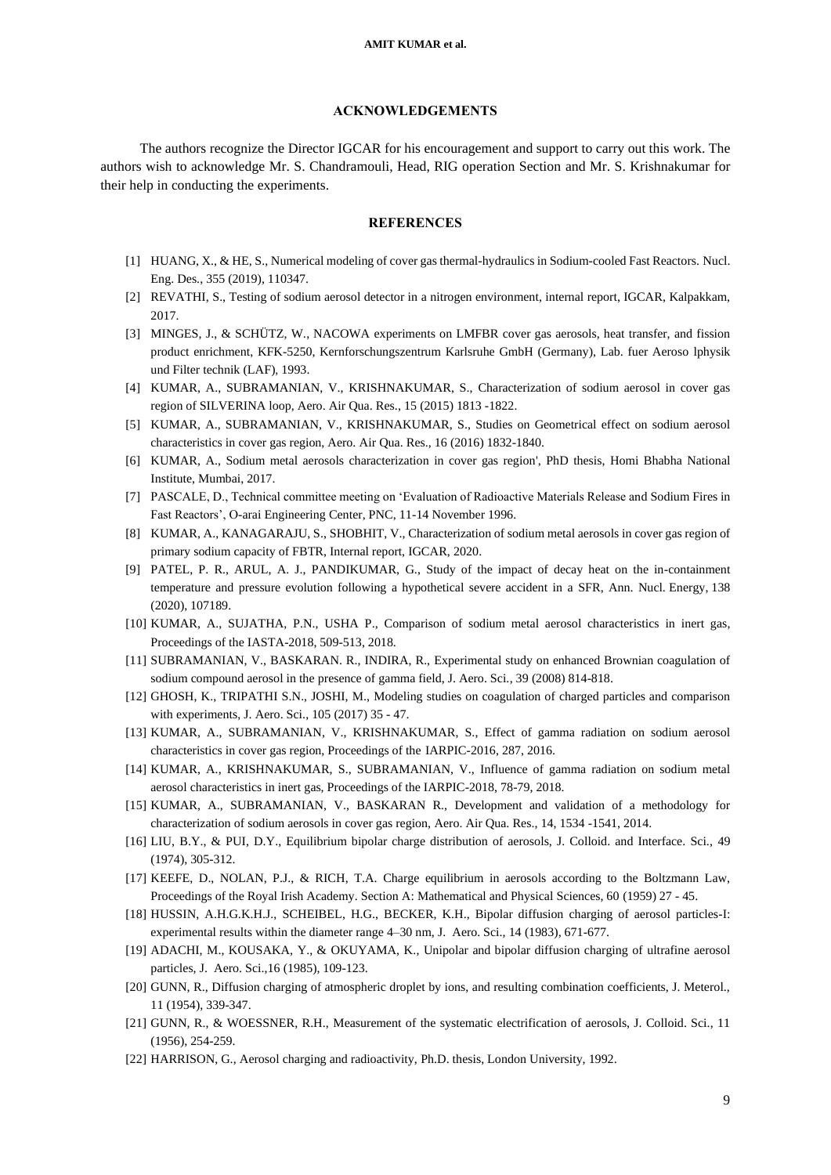#### **ACKNOWLEDGEMENTS**

The authors recognize the Director IGCAR for his encouragement and support to carry out this work. The authors wish to acknowledge Mr. S. Chandramouli, Head, RIG operation Section and Mr. S. Krishnakumar for their help in conducting the experiments.

## **REFERENCES**

- [1] HUANG, X., & HE, S., Numerical modeling of cover gas thermal-hydraulics in Sodium-cooled Fast Reactors. Nucl. Eng. Des., 355 (2019), 110347.
- [2] REVATHI, S., Testing of sodium aerosol detector in a nitrogen environment, internal report, IGCAR, Kalpakkam, 2017.
- [3] MINGES, J., & SCHÜTZ, W., NACOWA experiments on LMFBR cover gas aerosols, heat transfer, and fission product enrichment, KFK-5250, Kernforschungszentrum Karlsruhe GmbH (Germany), Lab. fuer Aeroso lphysik und Filter technik (LAF), 1993.
- [4] KUMAR, A., SUBRAMANIAN, V., KRISHNAKUMAR, S., Characterization of sodium aerosol in cover gas region of SILVERINA loop, Aero. Air Qua. Res., 15 (2015) 1813 -1822.
- [5] KUMAR, A., SUBRAMANIAN, V., KRISHNAKUMAR, S., Studies on Geometrical effect on sodium aerosol characteristics in cover gas region, Aero. Air Qua. Res., 16 (2016) 1832-1840.
- [6] KUMAR, A., Sodium metal aerosols characterization in cover gas region', PhD thesis, Homi Bhabha National Institute, Mumbai, 2017.
- [7] PASCALE, D., Technical committee meeting on 'Evaluation of Radioactive Materials Release and Sodium Fires in Fast Reactors', O-arai Engineering Center, PNC, 11-14 November 1996.
- [8] KUMAR, A., KANAGARAJU, S., SHOBHIT, V., Characterization of sodium metal aerosols in cover gas region of primary sodium capacity of FBTR, Internal report, IGCAR, 2020.
- [9] PATEL, P. R., ARUL, A. J., PANDIKUMAR, G., Study of the impact of decay heat on the in-containment temperature and pressure evolution following a hypothetical severe accident in a SFR, Ann. Nucl. Energy, 138 (2020), 107189.
- [10] KUMAR, A., SUJATHA, P.N., USHA P., Comparison of sodium metal aerosol characteristics in inert gas, Proceedings of the IASTA-2018, 509-513, 2018.
- [11] SUBRAMANIAN, V., BASKARAN. R., INDIRA, R., Experimental study on enhanced Brownian coagulation of sodium compound aerosol in the presence of gamma field, J. Aero. Sci., 39 (2008) 814-818.
- [12] GHOSH, K., TRIPATHI S.N., JOSHI, M., Modeling studies on coagulation of charged particles and comparison with experiments, J. Aero. Sci., 105 (2017) 35 - 47.
- [13] KUMAR, A., SUBRAMANIAN, V., KRISHNAKUMAR, S., Effect of gamma radiation on sodium aerosol characteristics in cover gas region, Proceedings of the IARPIC-2016, 287, 2016.
- [14] KUMAR, A., KRISHNAKUMAR, S., SUBRAMANIAN, V., Influence of gamma radiation on sodium metal aerosol characteristics in inert gas, Proceedings of the IARPIC-2018, 78-79, 2018.
- [15] KUMAR, A., SUBRAMANIAN, V., BASKARAN R., Development and validation of a methodology for characterization of sodium aerosols in cover gas region, Aero. Air Qua. Res., 14, 1534 -1541, 2014.
- [16] LIU, B.Y., & PUI, D.Y., Equilibrium bipolar charge distribution of aerosols, J. Colloid. and Interface. Sci., 49 (1974), 305-312.
- [17] KEEFE, D., NOLAN, P.J., & RICH, T.A. Charge equilibrium in aerosols according to the Boltzmann Law, Proceedings of the Royal Irish Academy. Section A: Mathematical and Physical Sciences, 60 (1959) 27 - 45.
- [18] HUSSIN, A.H.G.K.H.J., SCHEIBEL, H.G., BECKER, K.H., Bipolar diffusion charging of aerosol particles-I: experimental results within the diameter range 4–30 nm, J. Aero. Sci., 14 (1983), 671-677.
- [19] ADACHI, M., KOUSAKA, Y., & OKUYAMA, K., Unipolar and bipolar diffusion charging of ultrafine aerosol particles, J. Aero. Sci.,16 (1985), 109-123.
- [20] GUNN, R., Diffusion charging of atmospheric droplet by ions, and resulting combination coefficients, J. Meterol., 11 (1954), 339-347.
- [21] GUNN, R., & WOESSNER, R.H., Measurement of the systematic electrification of aerosols, J. Colloid. Sci., 11 (1956), 254-259.
- [22] HARRISON, G., Aerosol charging and radioactivity, Ph.D. thesis, London University, 1992.